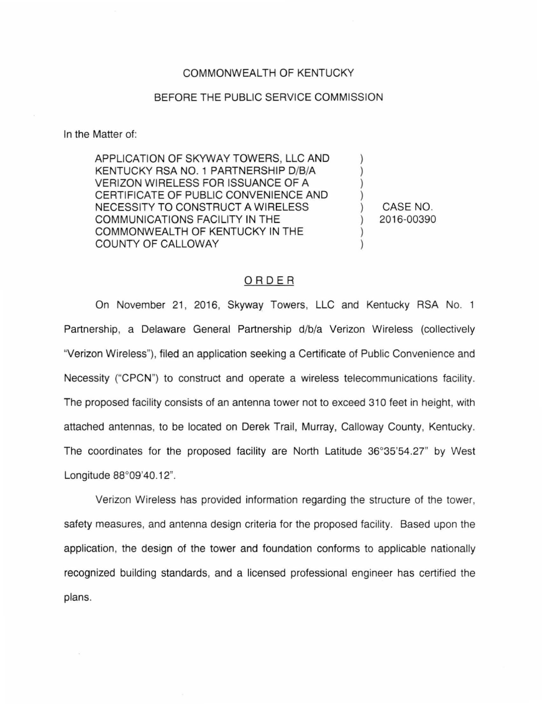## COMMONWEALTH OF KENTUCKY

## BEFORE THE PUBLIC SERVICE COMMISSION

In the Matter of:

APPLICATION OF SKYWAY TOWERS, LLC AND KENTUCKY RSA NO. 1 PARTNERSHIP D/B/A VERIZON WIRELESS FOR ISSUANCE OF A CERTIFICATE OF PUBLIC CONVENIENCE AND NECESSITY TO CONSTRUCT A WIRELESS COMMUNICATIONS FACILITY IN THE COMMONWEALTH OF KENTUCKY IN THE COUNTY OF CALLOWAY

) CASE NO. ) 2016-00390

) ) ) )

> ) )

## ORDER

On November 21, 2016, Skyway Towers, LLC and Kentucky RSA No. 1 Partnership, a Delaware General Partnership d/b/a Verizon Wireless (collectively "Verizon Wireless"), filed an application seeking a Certificate of Public Convenience and Necessity ("CPCN") to construct and operate a wireless telecommunications facility. The proposed facility consists of an antenna tower not to exceed 310 feet in height, with attached antennas, to be located on Derek Trail, Murray, Calloway County, Kentucky. The coordinates for the proposed facility are North Latitude 36°35'54.27" by West Longitude 88°09'40.12".

Verizon Wireless has provided information regarding the structure of the tower, safety measures, and antenna design criteria for the proposed facility. Based upon the application, the design of the tower and foundation conforms to applicable nationally recognized building standards, and a licensed professional engineer has certified the plans.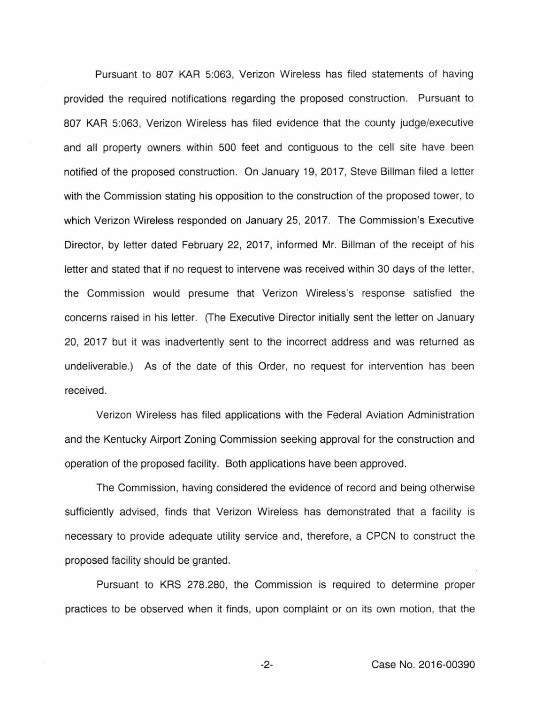Pursuant to 807 KAR 5:063, Verizon Wireless has filed statements of having provided the required notifications regarding the proposed construction. Pursuant to 807 KAR 5:063, Verizon Wireless has filed evidence that the county judge/executive and all property owners within 500 feet and contiguous to the cell site have been notified of the proposed construction. On January 19, 2017, Steve Billman filed a letter with the Commission stating his opposition to the construction of the proposed tower, to which Verizon Wireless responded on January 25, 2017. The Commission's Executive Director, by letter dated February 22, 2017, informed Mr. Billman of the receipt of his letter and stated that if no request to intervene was received within 30 days of the letter, the Commission would presume that Verizon Wireless's response satisfied the concerns raised in his letter. (The Executive Director initially sent the letter on January 20, 2017 but it was inadvertently sent to the incorrect address and was returned as undeliverable.) As of the date of this Order, no request for intervention has been received.

Verizon Wireless has filed applications with the Federal Aviation Administration and the Kentucky Airport Zoning Commission seeking approval for the construction and operation of the proposed facility. Both applications have been approved.

The Commission, having considered the evidence of record and being otherwise sufficiently advised, finds that Verizon Wireless has demonstrated that a facility is necessary to provide adequate utility service and, therefore, a CPCN to construct the proposed facility should be granted.

Pursuant to KRS 278.280, the Commission is required to determine proper practices to be observed when it finds, upon complaint or on its own motion, that the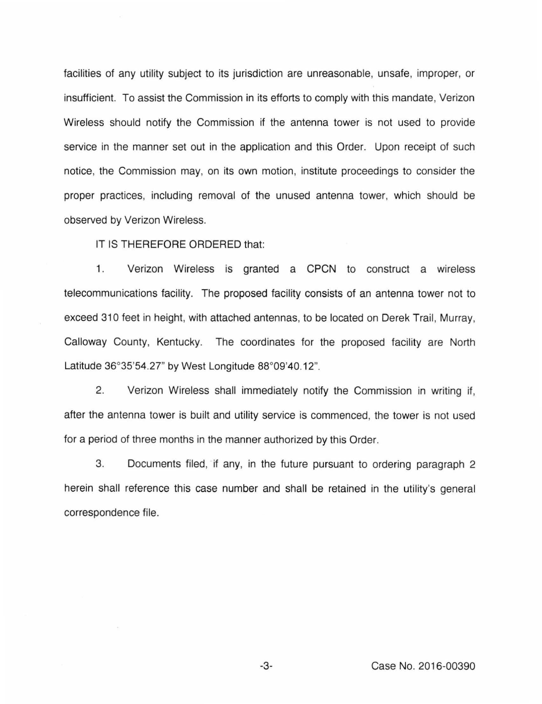facilities of any utility subject to its jurisdiction are unreasonable, unsafe, improper, or insufficient. To assist the Commission in its efforts to comply with this mandate, Verizon Wireless should notify the Commission if the antenna tower is not used to provide service in the manner set out in the application and this Order. Upon receipt of such notice, the Commission may, on its own motion, institute proceedings to consider the proper practices, including removal of the unused antenna tower, which should be observed by Verizon Wireless.

IT IS THEREFORE ORDERED that:

1. Verizon Wireless is granted a CPCN to construct a wireless telecommunications facility. The proposed facility consists of an antenna tower not to exceed 310 feet in height, with attached antennas, to be located on Derek Trail, Murray, Calloway County, Kentucky. The coordinates for the proposed facility are North Latitude 36°35'54.27" by West Longitude 88°09'40.12".

2. Verizon Wireless shall immediately notify the Commission in writing if, after the antenna tower is built and utility service is commenced, the tower is not used for a period of three months in the manner authorized by this Order.

3. Documents filed, if any, in the future pursuant to ordering paragraph 2 herein shall reference this case number and shall be retained in the utility's general correspondence file.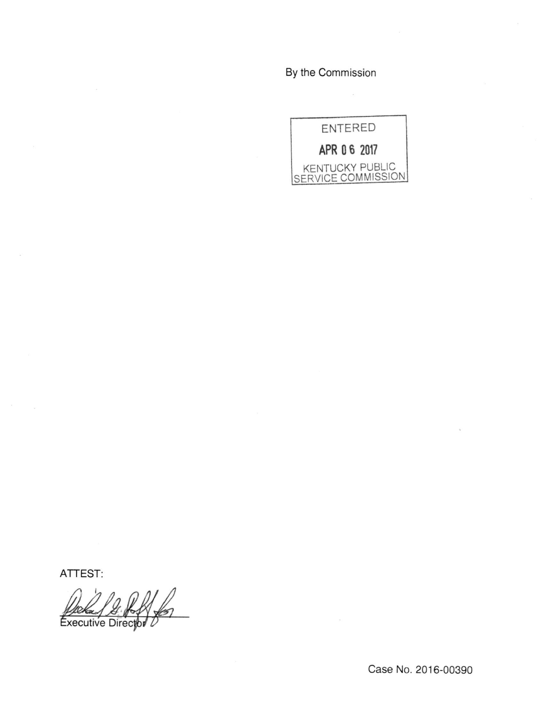By the Commission



ATTEST:

Executive Director L

Case No. 2016-00390